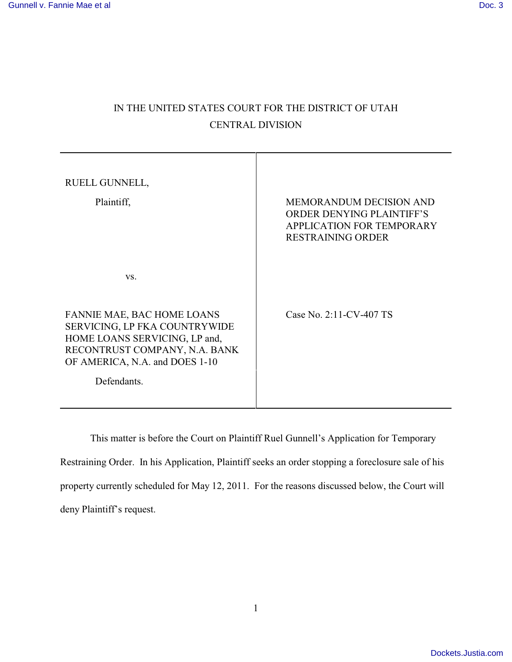# IN THE UNITED STATES COURT FOR THE DISTRICT OF UTAH CENTRAL DIVISION

| RUELL GUNNELL,<br>Plaintiff,                                                                                                                                                   | MEMORANDUM DECISION AND<br><b>ORDER DENYING PLAINTIFF'S</b><br>APPLICATION FOR TEMPORARY<br><b>RESTRAINING ORDER</b> |
|--------------------------------------------------------------------------------------------------------------------------------------------------------------------------------|----------------------------------------------------------------------------------------------------------------------|
| VS.                                                                                                                                                                            |                                                                                                                      |
| FANNIE MAE, BAC HOME LOANS<br>SERVICING, LP FKA COUNTRYWIDE<br>HOME LOANS SERVICING, LP and,<br>RECONTRUST COMPANY, N.A. BANK<br>OF AMERICA, N.A. and DOES 1-10<br>Defendants. | Case No. 2:11-CV-407 TS                                                                                              |

This matter is before the Court on Plaintiff Ruel Gunnell's Application for Temporary Restraining Order. In his Application, Plaintiff seeks an order stopping a foreclosure sale of his property currently scheduled for May 12, 2011. For the reasons discussed below, the Court will deny Plaintiff's request.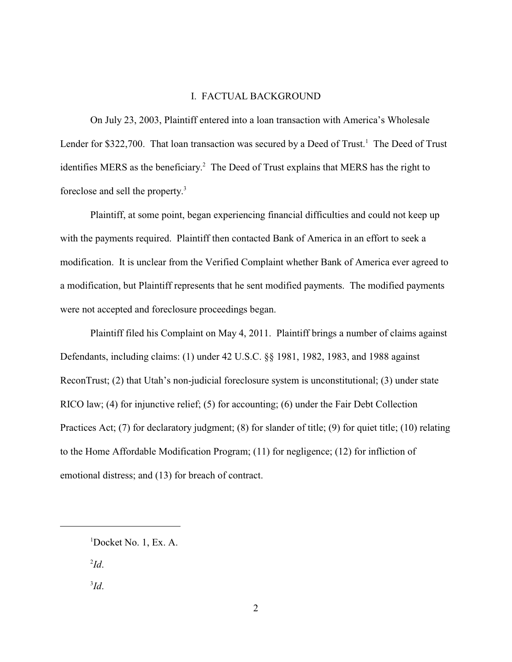#### I. FACTUAL BACKGROUND

On July 23, 2003, Plaintiff entered into a loan transaction with America's Wholesale Lender for \$322,700. That loan transaction was secured by a Deed of Trust.<sup>1</sup> The Deed of Trust identifies MERS as the beneficiary.<sup>2</sup> The Deed of Trust explains that MERS has the right to foreclose and sell the property. 3

Plaintiff, at some point, began experiencing financial difficulties and could not keep up with the payments required. Plaintiff then contacted Bank of America in an effort to seek a modification. It is unclear from the Verified Complaint whether Bank of America ever agreed to a modification, but Plaintiff represents that he sent modified payments. The modified payments were not accepted and foreclosure proceedings began.

Plaintiff filed his Complaint on May 4, 2011. Plaintiff brings a number of claims against Defendants, including claims: (1) under 42 U.S.C. §§ 1981, 1982, 1983, and 1988 against ReconTrust; (2) that Utah's non-judicial foreclosure system is unconstitutional; (3) under state RICO law; (4) for injunctive relief; (5) for accounting; (6) under the Fair Debt Collection Practices Act; (7) for declaratory judgment; (8) for slander of title; (9) for quiet title; (10) relating to the Home Affordable Modification Program; (11) for negligence; (12) for infliction of emotional distress; and (13) for breach of contract.

 $\mathbf{I}d$ .

*Id*. 3

 $1$ Docket No. 1, Ex. A.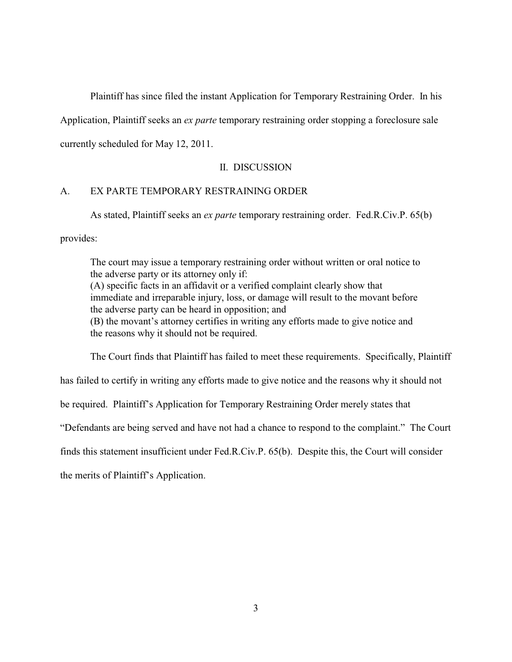Plaintiff has since filed the instant Application for Temporary Restraining Order. In his

Application, Plaintiff seeks an *ex parte* temporary restraining order stopping a foreclosure sale

currently scheduled for May 12, 2011.

## II. DISCUSSION

## A. EX PARTE TEMPORARY RESTRAINING ORDER

As stated, Plaintiff seeks an *ex parte* temporary restraining order. Fed.R.Civ.P. 65(b)

provides:

The court may issue a temporary restraining order without written or oral notice to the adverse party or its attorney only if: (A) specific facts in an affidavit or a verified complaint clearly show that immediate and irreparable injury, loss, or damage will result to the movant before the adverse party can be heard in opposition; and (B) the movant's attorney certifies in writing any efforts made to give notice and the reasons why it should not be required.

The Court finds that Plaintiff has failed to meet these requirements. Specifically, Plaintiff

has failed to certify in writing any efforts made to give notice and the reasons why it should not

be required. Plaintiff's Application for Temporary Restraining Order merely states that

"Defendants are being served and have not had a chance to respond to the complaint." The Court

finds this statement insufficient under Fed.R.Civ.P. 65(b). Despite this, the Court will consider

the merits of Plaintiff's Application.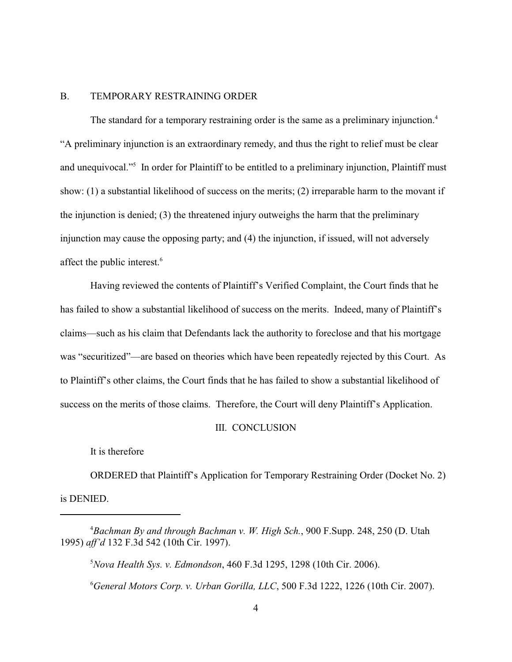### B. TEMPORARY RESTRAINING ORDER

The standard for a temporary restraining order is the same as a preliminary injunction.<sup>4</sup> "A preliminary injunction is an extraordinary remedy, and thus the right to relief must be clear and unequivocal."<sup>5</sup> In order for Plaintiff to be entitled to a preliminary injunction, Plaintiff must show: (1) a substantial likelihood of success on the merits; (2) irreparable harm to the movant if the injunction is denied; (3) the threatened injury outweighs the harm that the preliminary injunction may cause the opposing party; and (4) the injunction, if issued, will not adversely affect the public interest. 6

Having reviewed the contents of Plaintiff's Verified Complaint, the Court finds that he has failed to show a substantial likelihood of success on the merits. Indeed, many of Plaintiff's claims—such as his claim that Defendants lack the authority to foreclose and that his mortgage was "securitized"—are based on theories which have been repeatedly rejected by this Court. As to Plaintiff's other claims, the Court finds that he has failed to show a substantial likelihood of success on the merits of those claims. Therefore, the Court will deny Plaintiff's Application.

#### III. CONCLUSION

It is therefore

ORDERED that Plaintiff's Application for Temporary Restraining Order (Docket No. 2) is DENIED.

*Bachman By and through Bachman v. W. High Sch.*, 900 F.Supp. 248, 250 (D. Utah <sup>4</sup> 1995) *aff'd* 132 F.3d 542 (10th Cir. 1997).

*Nova Health Sys. v. Edmondson*, 460 F.3d 1295, 1298 (10th Cir. 2006). <sup>5</sup> *General Motors Corp. v. Urban Gorilla, LLC*, 500 F.3d 1222, 1226 (10th Cir. 2007). <sup>6</sup>